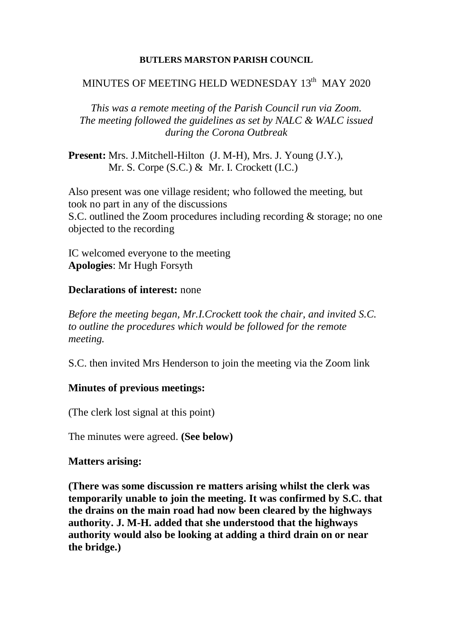#### **BUTLERS MARSTON PARISH COUNCIL**

## MINUTES OF MEETING HELD WEDNESDAY  $13^{\text{th}}$  MAY 2020

*This was a remote meeting of the Parish Council run via Zoom. The meeting followed the guidelines as set by NALC & WALC issued during the Corona Outbreak* 

**Present:** Mrs. J.Mitchell-Hilton (J. M-H), Mrs. J. Young (J.Y.), Mr. S. Corpe (S.C.) & Mr. I. Crockett (I.C.)

Also present was one village resident; who followed the meeting, but took no part in any of the discussions S.C. outlined the Zoom procedures including recording & storage; no one objected to the recording

IC welcomed everyone to the meeting **Apologies**: Mr Hugh Forsyth

#### **Declarations of interest:** none

*Before the meeting began, Mr.I.Crockett took the chair, and invited S.C. to outline the procedures which would be followed for the remote meeting.*

S.C. then invited Mrs Henderson to join the meeting via the Zoom link

### **Minutes of previous meetings:**

(The clerk lost signal at this point)

The minutes were agreed. **(See below)**

### **Matters arising:**

**(There was some discussion re matters arising whilst the clerk was temporarily unable to join the meeting. It was confirmed by S.C. that the drains on the main road had now been cleared by the highways authority. J. M-H. added that she understood that the highways authority would also be looking at adding a third drain on or near the bridge.)**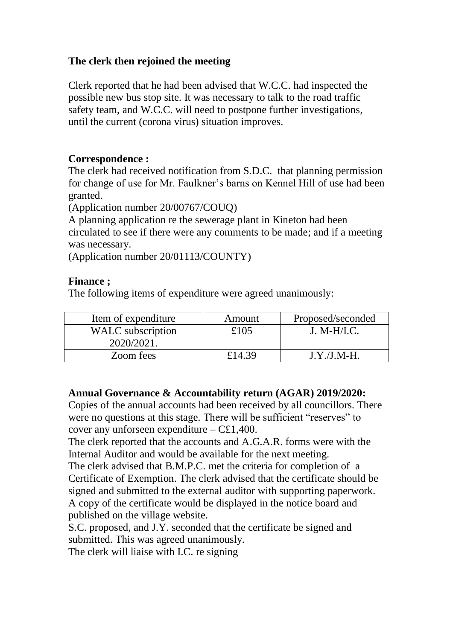## **The clerk then rejoined the meeting**

Clerk reported that he had been advised that W.C.C. had inspected the possible new bus stop site. It was necessary to talk to the road traffic safety team, and W.C.C. will need to postpone further investigations, until the current (corona virus) situation improves.

### **Correspondence :**

The clerk had received notification from S.D.C. that planning permission for change of use for Mr. Faulkner's barns on Kennel Hill of use had been granted.

(Application number 20/00767/COUQ)

A planning application re the sewerage plant in Kineton had been circulated to see if there were any comments to be made; and if a meeting was necessary.

(Application number 20/01113/COUNTY)

### **Finance ;**

The following items of expenditure were agreed unanimously:

| Item of expenditure      | Amount | Proposed/seconded |
|--------------------------|--------|-------------------|
| <b>WALC</b> subscription | £105   | $J. M-H/IC.$      |
| 2020/2021.               |        |                   |
| Zoom fees                | £14.39 | $J.Y.J.M-H.$      |

### **Annual Governance & Accountability return (AGAR) 2019/2020:**

Copies of the annual accounts had been received by all councillors. There were no questions at this stage. There will be sufficient "reserves" to cover any unforseen expenditure – C£1,400.

The clerk reported that the accounts and A.G.A.R. forms were with the Internal Auditor and would be available for the next meeting.

The clerk advised that B.M.P.C. met the criteria for completion of a Certificate of Exemption. The clerk advised that the certificate should be signed and submitted to the external auditor with supporting paperwork. A copy of the certificate would be displayed in the notice board and published on the village website.

S.C. proposed, and J.Y. seconded that the certificate be signed and submitted. This was agreed unanimously.

The clerk will liaise with I.C. re signing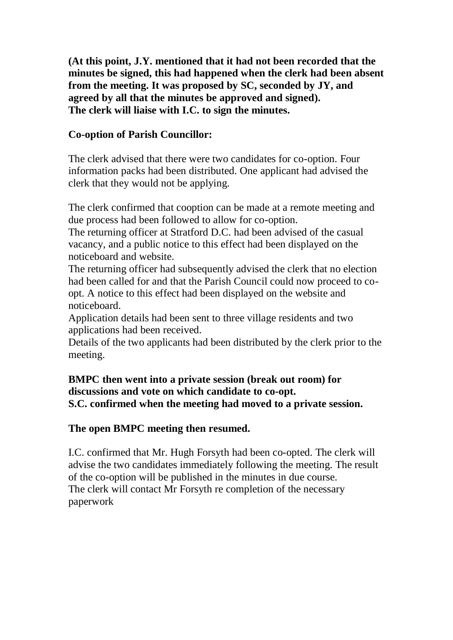**(At this point, J.Y. mentioned that it had not been recorded that the minutes be signed, this had happened when the clerk had been absent from the meeting. It was proposed by SC, seconded by JY, and agreed by all that the minutes be approved and signed). The clerk will liaise with I.C. to sign the minutes.**

## **Co-option of Parish Councillor:**

The clerk advised that there were two candidates for co-option. Four information packs had been distributed. One applicant had advised the clerk that they would not be applying.

The clerk confirmed that cooption can be made at a remote meeting and due process had been followed to allow for co-option.

The returning officer at Stratford D.C. had been advised of the casual vacancy, and a public notice to this effect had been displayed on the noticeboard and website.

The returning officer had subsequently advised the clerk that no election had been called for and that the Parish Council could now proceed to coopt. A notice to this effect had been displayed on the website and noticeboard.

Application details had been sent to three village residents and two applications had been received.

Details of the two applicants had been distributed by the clerk prior to the meeting.

## **BMPC then went into a private session (break out room) for discussions and vote on which candidate to co-opt. S.C. confirmed when the meeting had moved to a private session.**

### **The open BMPC meeting then resumed.**

I.C. confirmed that Mr. Hugh Forsyth had been co-opted. The clerk will advise the two candidates immediately following the meeting. The result of the co-option will be published in the minutes in due course. The clerk will contact Mr Forsyth re completion of the necessary paperwork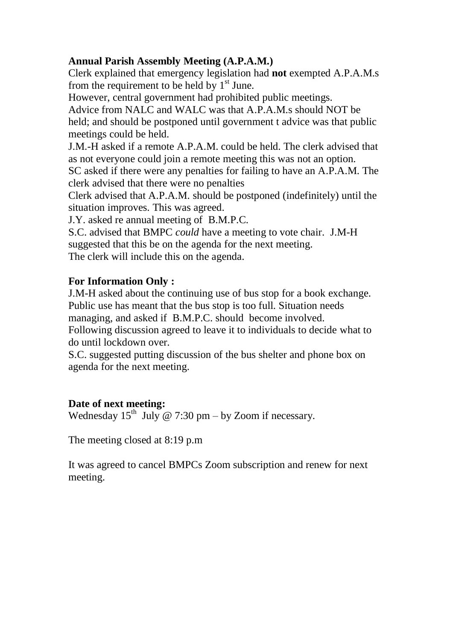## **Annual Parish Assembly Meeting (A.P.A.M.)**

Clerk explained that emergency legislation had **not** exempted A.P.A.M.s from the requirement to be held by  $1<sup>st</sup>$  June.

However, central government had prohibited public meetings.

Advice from NALC and WALC was that A.P.A.M.s should NOT be held; and should be postponed until government t advice was that public meetings could be held.

J.M.-H asked if a remote A.P.A.M. could be held. The clerk advised that as not everyone could join a remote meeting this was not an option.

SC asked if there were any penalties for failing to have an A.P.A.M. The clerk advised that there were no penalties

Clerk advised that A.P.A.M. should be postponed (indefinitely) until the situation improves. This was agreed.

J.Y. asked re annual meeting of B.M.P.C.

S.C. advised that BMPC *could* have a meeting to vote chair. J.M-H suggested that this be on the agenda for the next meeting. The clerk will include this on the agenda.

# **For Information Only :**

J.M-H asked about the continuing use of bus stop for a book exchange. Public use has meant that the bus stop is too full. Situation needs managing, and asked if B.M.P.C. should become involved.

Following discussion agreed to leave it to individuals to decide what to do until lockdown over.

S.C. suggested putting discussion of the bus shelter and phone box on agenda for the next meeting.

## **Date of next meeting:**

Wednesday  $15<sup>th</sup>$  July @ 7:30 pm – by Zoom if necessary.

The meeting closed at 8:19 p.m

It was agreed to cancel BMPCs Zoom subscription and renew for next meeting.